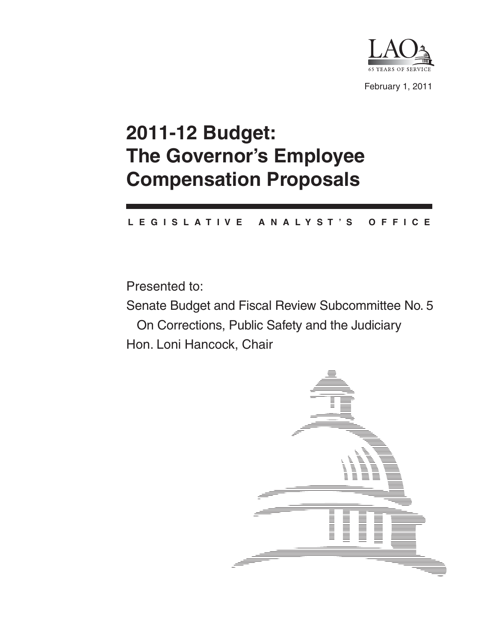

February 1, 2011

# **2011-12 Budget: The Governor's Employee Compensation Proposals**

#### **L E G I S L A T I V E A N A L Y S T ' S O F F I C E**

Presented to:

Senate Budget and Fiscal Review Subcommittee No. 5 On Corrections, Public Safety and the Judiciary Hon. Loni Hancock, Chair

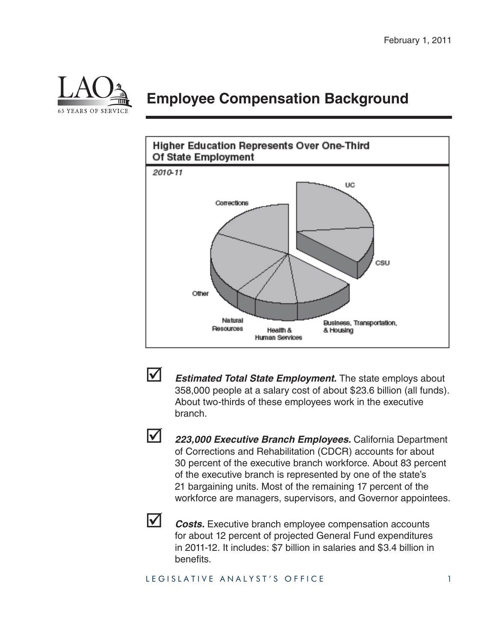

### **Employee Compensation Background**





**Estimated Total State Employment.** The state employs about 358,000 people at a salary cost of about \$23.6 billion (all funds). About two-thirds of these employees work in the executive branch.



 *223,000 Executive Branch Employees.* California Department of Corrections and Rehabilitation (CDCR) accounts for about 30 percent of the executive branch workforce. About 83 percent of the executive branch is represented by one of the state's 21 bargaining units. Most of the remaining 17 percent of the workforce are managers, supervisors, and Governor appointees.



**Z** *Costs.* Executive branch employee compensation accounts for about 12 percent of projected General Fund expenditures in 2011-12. It includes: \$7 billion in salaries and \$3.4 billion in benefits.

#### LEGISLATIVE ANALYST'S OFFICE 1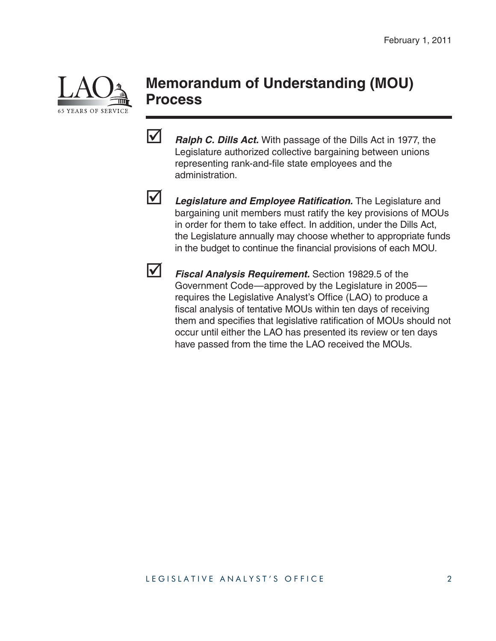

### **Memorandum of Understanding (MOU) Process**

*Ralph C. Dills Act.* With passage of the Dills Act in 1977, the Legislature authorized collective bargaining between unions representing rank-and-file state employees and the administration.



**12** Legislature and Employee Ratification. The Legislature and bargaining unit members must ratify the key provisions of MOUs in order for them to take effect. In addition, under the Dills Act, the Legislature annually may choose whether to appropriate funds in the budget to continue the financial provisions of each MOU.



 *Fiscal Analysis Requirement.* Section 19829.5 of the Government Code—approved by the Legislature in 2005 requires the Legislative Analyst's Office (LAO) to produce a fiscal analysis of tentative MOUs within ten days of receiving them and specifies that legislative ratification of MOUs should not occur until either the LAO has presented its review or ten days have passed from the time the LAO received the MOUs.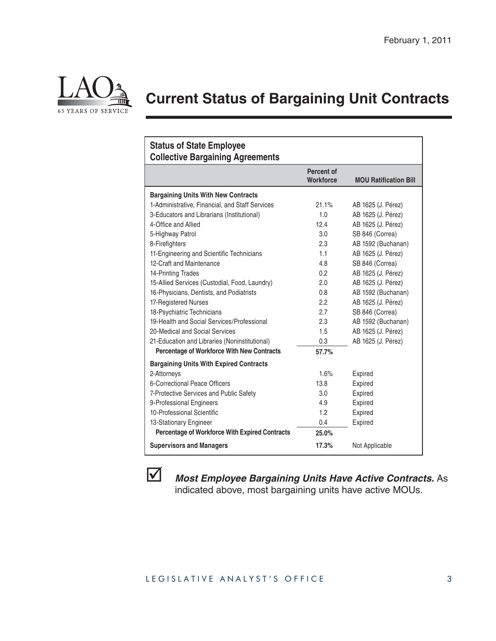

## **Current Status of Bargaining Unit Contracts**

| <b>Status of State Employee</b><br><b>Collective Bargaining Agreements</b> |                                |                              |
|----------------------------------------------------------------------------|--------------------------------|------------------------------|
|                                                                            | Percent of<br><b>Workforce</b> | <b>MOU Ratification Bill</b> |
| <b>Bargaining Units With New Contracts</b>                                 |                                |                              |
| 1-Administrative, Financial, and Staff Services                            | 21.1%                          | AB 1625 (J. Pérez)           |
| 3-Educators and Librarians (Institutional)                                 | 1.0                            | AB 1625 (J. Pérez)           |
| 4-Office and Allied                                                        | 12.4                           | AB 1625 (J. Pérez)           |
| 5-Highway Patrol                                                           | 3.0                            | SB 846 (Correa)              |
| 8-Firefighters                                                             | 2.3                            | AB 1592 (Buchanan)           |
| 11-Engineering and Scientific Technicians                                  | 1.1                            | AB 1625 (J. Pérez)           |
| 12-Craft and Maintenance                                                   | 4.8                            | SB 846 (Correa)              |
| 14-Printing Trades                                                         | 0.2                            | AB 1625 (J. Pérez)           |
| 15-Allied Services (Custodial, Food, Laundry)                              | 2.0                            | AB 1625 (J. Pérez)           |
| 16-Physicians, Dentists, and Podiatrists                                   | 0.8                            | AB 1592 (Buchanan)           |
| 17-Registered Nurses                                                       | 2.2                            | AB 1625 (J. Pérez)           |
| 18-Psychiatric Technicians                                                 | 2.7                            | SB 846 (Correa)              |
| 19-Health and Social Services/Professional                                 | 2.3                            | AB 1592 (Buchanan)           |
| 20-Medical and Social Services                                             | 1.5                            | AB 1625 (J. Pérez)           |
| 21-Education and Libraries (Noninstitutional)                              | 0.3                            | AB 1625 (J. Pérez)           |
| <b>Percentage of Workforce With New Contracts</b>                          | 57.7%                          |                              |
| <b>Bargaining Units With Expired Contracts</b>                             |                                |                              |
| 2-Attorneys                                                                | 1.6%                           | Expired                      |
| 6-Correctional Peace Officers                                              | 13.8                           | Expired                      |
| 7-Protective Services and Public Safety                                    | 3.0                            | Expired                      |
| 9-Professional Engineers                                                   | 4.9                            | Expired                      |
| 10-Professional Scientific                                                 | 1.2                            | Expired                      |
| 13-Stationary Engineer                                                     | 0.4                            | Expired                      |
| <b>Percentage of Workforce With Expired Contracts</b>                      | 25.0%                          |                              |
| <b>Supervisors and Managers</b>                                            | 17.3%                          | Not Applicable               |



 *Most Employee Bargaining Units Have Active Contracts.* As indicated above, most bargaining units have active MOUs.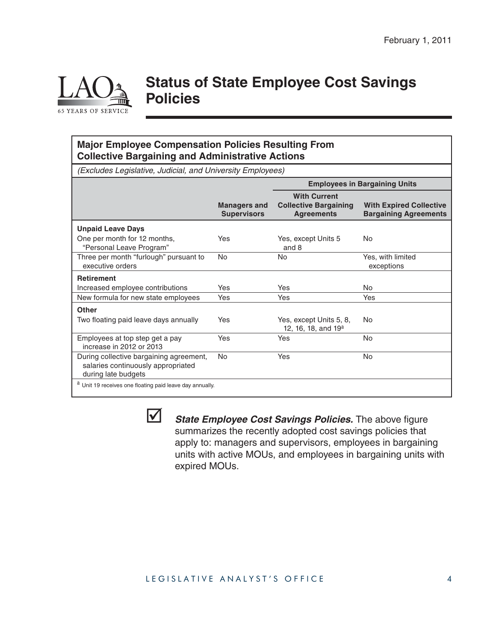

### **Status of State Employee Cost Savings Policies**

#### **Major Employee Compensation Policies Resulting From Collective Bargaining and Administrative Actions**

*(Excludes Legislative, Judicial, and University Employees)*

|                                                                                                      |                                           | <b>Employees in Bargaining Units</b>                                     |                                                                |
|------------------------------------------------------------------------------------------------------|-------------------------------------------|--------------------------------------------------------------------------|----------------------------------------------------------------|
|                                                                                                      | <b>Managers and</b><br><b>Supervisors</b> | <b>With Current</b><br><b>Collective Bargaining</b><br><b>Agreements</b> | <b>With Expired Collective</b><br><b>Bargaining Agreements</b> |
| <b>Unpaid Leave Days</b>                                                                             |                                           |                                                                          |                                                                |
| One per month for 12 months,<br>"Personal Leave Program"                                             | Yes                                       | Yes, except Units 5<br>and 8                                             | No                                                             |
| Three per month "furlough" pursuant to<br>executive orders                                           | No                                        | No                                                                       | Yes, with limited<br>exceptions                                |
| <b>Retirement</b>                                                                                    |                                           |                                                                          |                                                                |
| Increased employee contributions                                                                     | Yes                                       | <b>Yes</b>                                                               | No.                                                            |
| New formula for new state employees                                                                  | Yes                                       | Yes                                                                      | Yes                                                            |
| <b>Other</b>                                                                                         |                                           |                                                                          |                                                                |
| Two floating paid leave days annually                                                                | Yes                                       | Yes, except Units 5, 8,<br>12, 16, 18, and 19 <sup>a</sup>               | No                                                             |
| Employees at top step get a pay<br>increase in 2012 or 2013                                          | Yes                                       | Yes                                                                      | <b>No</b>                                                      |
| During collective bargaining agreement,<br>salaries continuously appropriated<br>during late budgets | <b>No</b>                                 | Yes                                                                      | No.                                                            |
| <sup>a</sup> Unit 19 receives one floating paid leave day annually.                                  |                                           |                                                                          |                                                                |



*State Employee Cost Savings Policies.* The above figure summarizes the recently adopted cost savings policies that apply to: managers and supervisors, employees in bargaining units with active MOUs, and employees in bargaining units with expired MOUs.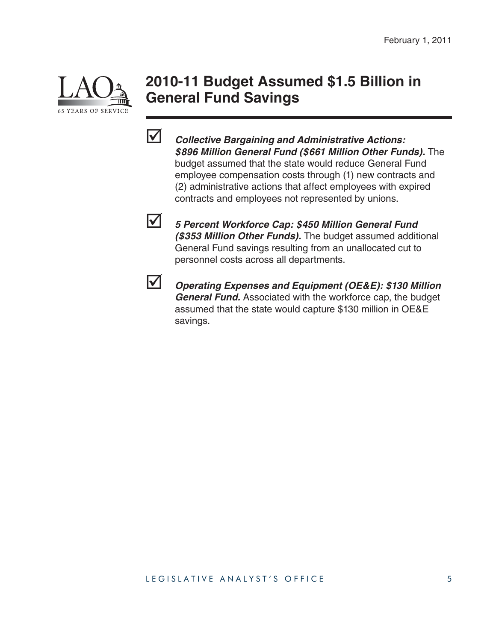

### **2010-11 Budget Assumed \$1.5 Billion in General Fund Savings**



 *Collective Bargaining and Administrative Actions: \$896 Million General Fund (\$661 Million Other Funds).* The budget assumed that the state would reduce General Fund employee compensation costs through (1) new contracts and (2) administrative actions that affect employees with expired contracts and employees not represented by unions.



 *5 Percent Workforce Cap: \$450 Million General Fund (\$353 Million Other Funds).* The budget assumed additional General Fund savings resulting from an unallocated cut to personnel costs across all departments.



 *Operating Expenses and Equipment (OE&E): \$130 Million General Fund.* Associated with the workforce cap, the budget assumed that the state would capture \$130 million in OE&E savings.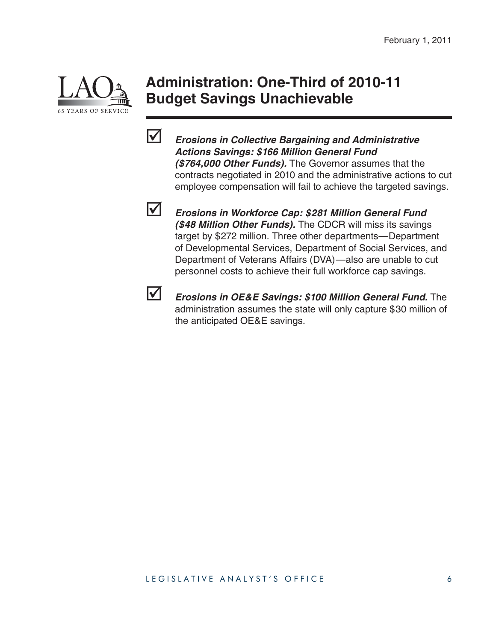

### **Administration: One-Third of 2010-11 Budget Savings Unachievable**



 *Erosions in Collective Bargaining and Administrative Actions Savings: \$166 Million General Fund (\$764,000 Other Funds).* The Governor assumes that the contracts negotiated in 2010 and the administrative actions to cut employee compensation will fail to achieve the targeted savings.



 *Erosions in Workforce Cap: \$281 Million General Fund (\$48 Million Other Funds).* The CDCR will miss its savings target by \$272 million. Three other departments—Department of Developmental Services, Department of Social Services, and Department of Veterans Affairs (DVA)—also are unable to cut personnel costs to achieve their full workforce cap savings.



**M** *Erosions in OE&E Savings: \$100 Million General Fund.* The administration assumes the state will only capture \$30 million of the anticipated OE&E savings.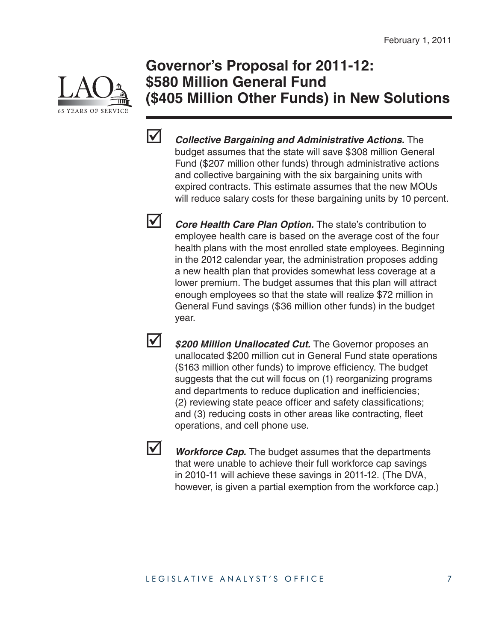

### **Governor's Proposal for 2011-12: \$580 Million General Fund (\$405 Million Other Funds) in New Solutions**



*Collective Bargaining and Administrative Actions.* **The** budget assumes that the state will save \$308 million General Fund (\$207 million other funds) through administrative actions and collective bargaining with the six bargaining units with expired contracts. This estimate assumes that the new MOUs will reduce salary costs for these bargaining units by 10 percent.

**V** *Core Health Care Plan Option.* The state's contribution to employee health care is based on the average cost of the four health plans with the most enrolled state employees. Beginning in the 2012 calendar year, the administration proposes adding a new health plan that provides somewhat less coverage at a lower premium. The budget assumes that this plan will attract enough employees so that the state will realize \$72 million in General Fund savings (\$36 million other funds) in the budget year.

**1** \$200 Million Unallocated Cut. The Governor proposes an unallocated \$200 million cut in General Fund state operations (\$163 million other funds) to improve efficiency. The budget suggests that the cut will focus on (1) reorganizing programs and departments to reduce duplication and inefficiencies; (2) reviewing state peace officer and safety classifications; and (3) reducing costs in other areas like contracting, fleet operations, and cell phone use.



**V** Workforce Cap. The budget assumes that the departments that were unable to achieve their full workforce cap savings in 2010-11 will achieve these savings in 2011-12. (The DVA, however, is given a partial exemption from the workforce cap.)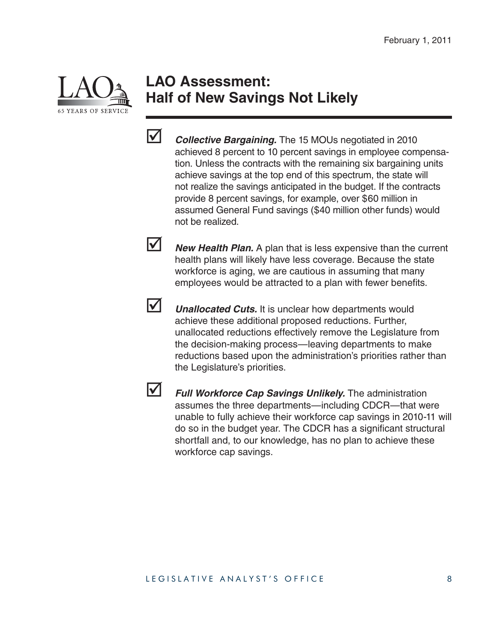

### **LAO Assessment: Half of New Savings Not Likely**



*Collective Bargaining.* The 15 MOUs negotiated in 2010 achieved 8 percent to 10 percent savings in employee compensation. Unless the contracts with the remaining six bargaining units achieve savings at the top end of this spectrum, the state will not realize the savings anticipated in the budget. If the contracts provide 8 percent savings, for example, over \$60 million in assumed General Fund savings (\$40 million other funds) would not be realized.

**Mew Health Plan.** A plan that is less expensive than the current health plans will likely have less coverage. Because the state workforce is aging, we are cautious in assuming that many employees would be attracted to a plan with fewer benefits.



**V** *Unallocated Cuts.* It is unclear how departments would achieve these additional proposed reductions. Further, unallocated reductions effectively remove the Legislature from the decision-making process—leaving departments to make reductions based upon the administration's priorities rather than the Legislature's priorities.



 *Full Workforce Cap Savings Unlikely.* The administration assumes the three departments—including CDCR—that were unable to fully achieve their workforce cap savings in 2010-11 will do so in the budget year. The CDCR has a significant structural shortfall and, to our knowledge, has no plan to achieve these workforce cap savings.